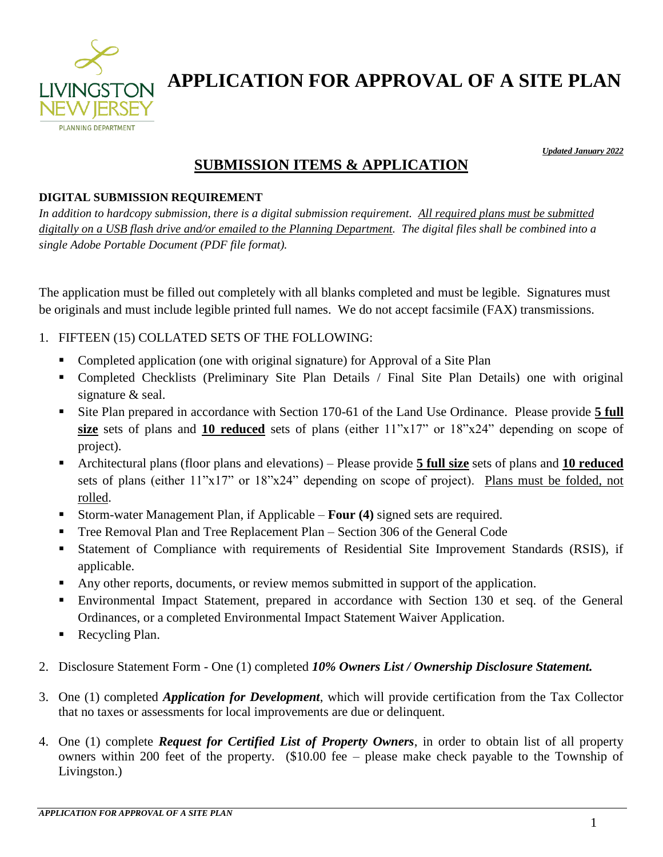

*Updated January 2022* 

### **SUBMISSION ITEMS & APPLICATION**

#### **DIGITAL SUBMISSION REQUIREMENT**

*In addition to hardcopy submission, there is a digital submission requirement. All required plans must be submitted digitally on a USB flash drive and/or emailed to the Planning Department. The digital files shall be combined into a single Adobe Portable Document (PDF file format).* 

The application must be filled out completely with all blanks completed and must be legible. Signatures must be originals and must include legible printed full names. We do not accept facsimile (FAX) transmissions.

#### 1. FIFTEEN (15) COLLATED SETS OF THE FOLLOWING:

- Completed application (one with original signature) for Approval of a Site Plan
- Completed Checklists (Preliminary Site Plan Details / Final Site Plan Details) one with original signature & seal.
- Site Plan prepared in accordance with Section 170-61 of the Land Use Ordinance. Please provide **5 full size** sets of plans and **10 reduced** sets of plans (either 11"x17" or 18"x24" depending on scope of project).
- Architectural plans (floor plans and elevations) Please provide **5 full size** sets of plans and **10 reduced** sets of plans (either 11"x17" or 18"x24" depending on scope of project). Plans must be folded, not rolled.
- Storm-water Management Plan, if Applicable **Four (4)** signed sets are required.
- Tree Removal Plan and Tree Replacement Plan Section 306 of the General Code
- Statement of Compliance with requirements of Residential Site Improvement Standards (RSIS), if applicable.
- Any other reports, documents, or review memos submitted in support of the application.
- Environmental Impact Statement, prepared in accordance with Section 130 et seq. of the General Ordinances, or a completed Environmental Impact Statement Waiver Application.
- Recycling Plan.
- 2. Disclosure Statement Form One (1) completed *10% Owners List / Ownership Disclosure Statement.*
- 3. One (1) completed *Application for Development*, which will provide certification from the Tax Collector that no taxes or assessments for local improvements are due or delinquent.
- 4. One (1) complete *Request for Certified List of Property Owners*, in order to obtain list of all property owners within 200 feet of the property. (\$10.00 fee – please make check payable to the Township of Livingston.)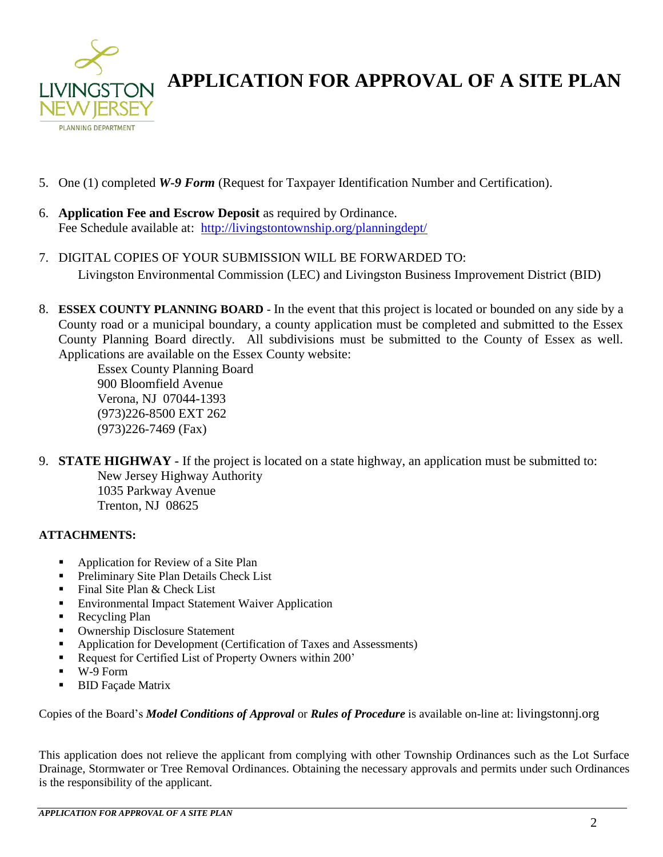

- 5. One (1) completed *W-9 Form* (Request for Taxpayer Identification Number and Certification).
- 6. **Application Fee and Escrow Deposit** as required by Ordinance. Fee Schedule available at: <http://livingstontownship.org/planningdept/>
- 7. DIGITAL COPIES OF YOUR SUBMISSION WILL BE FORWARDED TO: Livingston Environmental Commission (LEC) and Livingston Business Improvement District (BID)
- 8. **ESSEX COUNTY PLANNING BOARD** In the event that this project is located or bounded on any side by a County road or a municipal boundary, a county application must be completed and submitted to the Essex County Planning Board directly. All subdivisions must be submitted to the County of Essex as well. Applications are available on the Essex County website:

Essex County Planning Board 900 Bloomfield Avenue Verona, NJ 07044-1393 (973)226-8500 EXT 262 (973)226-7469 (Fax)

9. **STATE HIGHWAY -** If the project is located on a state highway, an application must be submitted to: New Jersey Highway Authority 1035 Parkway Avenue Trenton, NJ 08625

#### **ATTACHMENTS:**

- Application for Review of a Site Plan
- **•** Preliminary Site Plan Details Check List
- Final Site Plan & Check List
- Environmental Impact Statement Waiver Application
- **Recycling Plan**
- **Ownership Disclosure Statement**
- Application for Development (Certification of Taxes and Assessments)
- Request for Certified List of Property Owners within 200'
- W-9 Form
- BID Façade Matrix

Copies of the Board's *Model Conditions of Approval* or *Rules of Procedure* is available on-line at: livingstonnj.org

This application does not relieve the applicant from complying with other Township Ordinances such as the Lot Surface Drainage, Stormwater or Tree Removal Ordinances. Obtaining the necessary approvals and permits under such Ordinances is the responsibility of the applicant.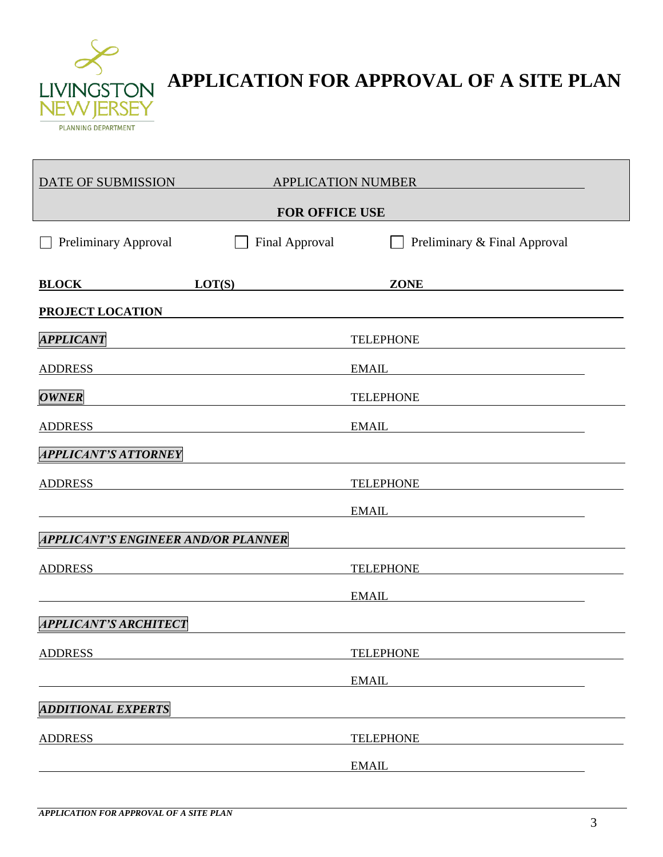

| DATE OF SUBMISSION                  |                | <b>APPLICATION NUMBER</b>    |  |
|-------------------------------------|----------------|------------------------------|--|
| <b>FOR OFFICE USE</b>               |                |                              |  |
| <b>Preliminary Approval</b>         | Final Approval | Preliminary & Final Approval |  |
| <b>BLOCK</b>                        | LOT(S)         | <b>ZONE</b>                  |  |
| <b>PROJECT LOCATION</b>             |                |                              |  |
| <b>APPLICANT</b>                    |                | <b>TELEPHONE</b>             |  |
| <b>ADDRESS</b>                      |                | <b>EMAIL</b>                 |  |
| <b>OWNER</b>                        |                | <b>TELEPHONE</b>             |  |
| <b>ADDRESS</b>                      |                | <b>EMAIL</b>                 |  |
| <b>APPLICANT'S ATTORNEY</b>         |                |                              |  |
| <b>ADDRESS</b>                      |                | <b>TELEPHONE</b>             |  |
|                                     |                | <b>EMAIL</b>                 |  |
| APPLICANT'S ENGINEER AND/OR PLANNER |                |                              |  |
| <b>ADDRESS</b>                      |                | <b>TELEPHONE</b>             |  |
|                                     |                | <b>EMAIL</b>                 |  |
| <b>APPLICANT'S ARCHITECT</b>        |                |                              |  |
| <b>ADDRESS</b>                      |                | <b>TELEPHONE</b>             |  |
|                                     |                | <b>EMAIL</b>                 |  |
| <b>ADDITIONAL EXPERTS</b>           |                |                              |  |
| <b>ADDRESS</b>                      |                | <b>TELEPHONE</b>             |  |
|                                     |                | <b>EMAIL</b>                 |  |